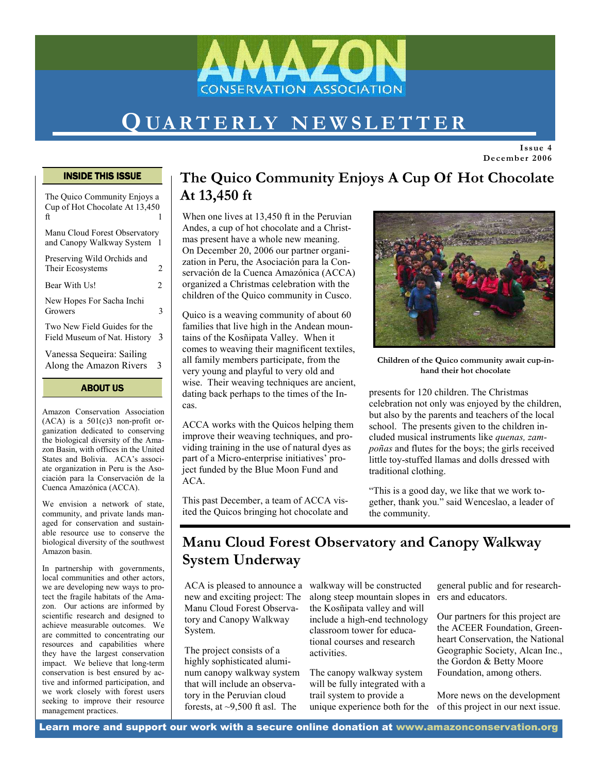

# QUARTERLY NEWSLETTER

Issue 4 December 2006

#### INSIDE THIS ISSUE

| ABOUT US                                                             |   |
|----------------------------------------------------------------------|---|
| Vanessa Sequeira: Sailing<br>Along the Amazon Rivers                 | 3 |
| Two New Field Guides for the<br>Field Museum of Nat. History         | 3 |
| New Hopes For Sacha Inchi<br>Growers                                 | 3 |
| Bear With Us!                                                        | 2 |
| Preserving Wild Orchids and<br>Their Ecosystems                      | 2 |
| Manu Cloud Forest Observatory<br>and Canopy Walkway System           |   |
| The Quico Community Enjoys a<br>Cup of Hot Chocolate At 13,450<br>ft | 1 |

Amazon Conservation Association  $(ACA)$  is a  $501(c)3$  non-profit organization dedicated to conserving the biological diversity of the Amazon Basin, with offices in the United States and Bolivia. ACA's associate organization in Peru is the Asociación para la Conservación de la Cuenca Amazónica (ACCA).

We envision a network of state, community, and private lands managed for conservation and sustainable resource use to conserve the biological diversity of the southwest Amazon basin.

In partnership with governments, local communities and other actors, we are developing new ways to protect the fragile habitats of the Amazon. Our actions are informed by scientific research and designed to achieve measurable outcomes. We are committed to concentrating our resources and capabilities where they have the largest conservation impact. We believe that long-term conservation is best ensured by active and informed participation, and we work closely with forest users seeking to improve their resource management practices.

### The Quico Community Enjoys A Cup Of Hot Chocolate At 13,450 ft

When one lives at 13.450 ft in the Peruvian Andes, a cup of hot chocolate and a Christmas present have a whole new meaning. On December 20, 2006 our partner organization in Peru, the Asociación para la Conservación de la Cuenca Amazónica (ACCA) organized a Christmas celebration with the children of the Quico community in Cusco.

Quico is a weaving community of about 60 families that live high in the Andean mountains of the Kosñipata Valley. When it comes to weaving their magnificent textiles, all family members participate, from the very young and playful to very old and wise. Their weaving techniques are ancient, dating back perhaps to the times of the Incas.

ACCA works with the Quicos helping them improve their weaving techniques, and providing training in the use of natural dyes as part of a Micro-enterprise initiatives' project funded by the Blue Moon Fund and ACA.

This past December, a team of ACCA visited the Quicos bringing hot chocolate and



Children of the Quico community await cup-inhand their hot chocolate

presents for 120 children. The Christmas celebration not only was enjoyed by the children, but also by the parents and teachers of the local school. The presents given to the children included musical instruments like quenas, zampoñas and flutes for the boys; the girls received little toy-stuffed llamas and dolls dressed with traditional clothing.

"This is a good day, we like that we work together, thank you." said Wenceslao, a leader of the community.

### Manu Cloud Forest Observatory and Canopy Walkway System Underway

ACA is pleased to announce a new and exciting project: The Manu Cloud Forest Observatory and Canopy Walkway System.

The project consists of a highly sophisticated aluminum canopy walkway system that will include an observatory in the Peruvian cloud forests, at  $\sim$ 9,500 ft asl. The

walkway will be constructed along steep mountain slopes in ers and educators. the Kosñipata valley and will include a high-end technology classroom tower for educational courses and research activities.

The canopy walkway system will be fully integrated with a trail system to provide a unique experience both for the general public and for research-

Our partners for this project are the ACEER Foundation, Greenheart Conservation, the National Geographic Society, Alcan Inc., the Gordon & Betty Moore Foundation, among others.

More news on the development of this project in our next issue.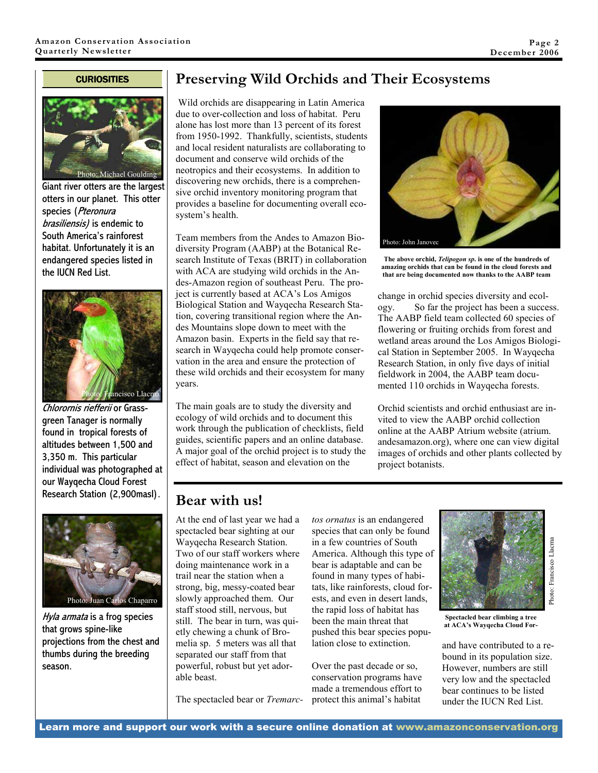#### **CURIOSITIES**



Giant river otters are the largest otters in our planet. This otter species (Pteronura brasiliensis) is endemic to South America's rainforest habitat. Unfortunately it is an endangered species listed in the IUCN Red List.



Chlorornis riefferii or Grassgreen Tanager is normally found in tropical forests of altitudes between 1,500 and 3,350 m. This particular individual was photographed at our Wayqecha Cloud Forest Research Station (2,900masl).



Hyla armata is a frog species that grows spine-like projections from the chest and thumbs during the breeding season.

### Preserving Wild Orchids and Their Ecosystems

 Wild orchids are disappearing in Latin America due to over-collection and loss of habitat. Peru alone has lost more than 13 percent of its forest from 1950-1992. Thankfully, scientists, students and local resident naturalists are collaborating to document and conserve wild orchids of the neotropics and their ecosystems. In addition to discovering new orchids, there is a comprehensive orchid inventory monitoring program that provides a baseline for documenting overall ecosystem's health.

Team members from the Andes to Amazon Biodiversity Program (AABP) at the Botanical Research Institute of Texas (BRIT) in collaboration with ACA are studying wild orchids in the Andes-Amazon region of southeast Peru. The project is currently based at ACA's Los Amigos Biological Station and Wayqecha Research Station, covering transitional region where the Andes Mountains slope down to meet with the Amazon basin. Experts in the field say that research in Wayqecha could help promote conservation in the area and ensure the protection of these wild orchids and their ecosystem for many years.

The main goals are to study the diversity and ecology of wild orchids and to document this work through the publication of checklists, field guides, scientific papers and an online database. A major goal of the orchid project is to study the effect of habitat, season and elevation on the



The above orchid, Telipogon sp. is one of the hundreds of amazing orchids that can be found in the cloud forests and that are being documented now thanks to the AABP team

change in orchid species diversity and ecology. So far the project has been a success. The AABP field team collected 60 species of flowering or fruiting orchids from forest and wetland areas around the Los Amigos Biological Station in September 2005. In Wayqecha Research Station, in only five days of initial fieldwork in 2004, the AABP team documented 110 orchids in Wayqecha forests.

Orchid scientists and orchid enthusiast are invited to view the AABP orchid collection online at the AABP Atrium website (atrium. andesamazon.org), where one can view digital images of orchids and other plants collected by project botanists.

#### Bear with us!

At the end of last year we had a spectacled bear sighting at our Wayqecha Research Station. Two of our staff workers where doing maintenance work in a trail near the station when a strong, big, messy-coated bear slowly approached them. Our staff stood still, nervous, but still. The bear in turn, was quietly chewing a chunk of Bromelia sp. 5 meters was all that separated our staff from that powerful, robust but yet adorable beast.

The spectacled bear or Tremarc-

tos ornatus is an endangered species that can only be found in a few countries of South America. Although this type of bear is adaptable and can be found in many types of habitats, like rainforests, cloud forests, and even in desert lands, the rapid loss of habitat has been the main threat that pushed this bear species population close to extinction.

Over the past decade or so, conservation programs have made a tremendous effort to protect this animal's habitat



Spectacled bear climbing a tree at ACA's Wayqecha Cloud For-

and have contributed to a rebound in its population size. However, numbers are still very low and the spectacled bear continues to be listed under the IUCN Red List.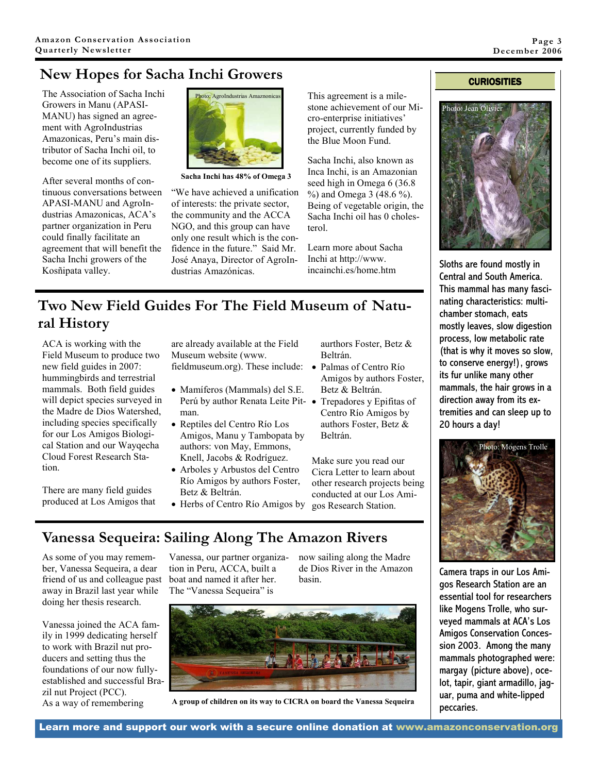## New Hopes for Sacha Inchi Growers

The Association of Sacha Inchi Growers in Manu (APASI-MANU) has signed an agreement with AgroIndustrias Amazonicas, Peru's main distributor of Sacha Inchi oil, to become one of its suppliers.

After several months of continuous conversations between APASI-MANU and AgroIndustrias Amazonicas, ACA's partner organization in Peru could finally facilitate an agreement that will benefit the Sacha Inchi growers of the Kosñipata valley.



Sacha Inchi has 48% of Omega 3

"We have achieved a unification of interests: the private sector, the community and the ACCA NGO, and this group can have only one result which is the confidence in the future." Said Mr. José Anaya, Director of AgroIndustrias Amazónicas.

This agreement is a milestone achievement of our Micro-enterprise initiatives' project, currently funded by the Blue Moon Fund.

Sacha Inchi, also known as Inca Inchi, is an Amazonian seed high in Omega 6 (36.8  $\%$ ) and Omega 3 (48.6 %). Being of vegetable origin, the Sacha Inchi oil has 0 cholesterol.

Learn more about Sacha Inchi at http://www. incainchi.es/home.htm

#### **CURIOSITIES**



Sloths are found mostly in Central and South America. This mammal has many fascinating characteristics: multichamber stomach, eats mostly leaves, slow digestion process, low metabolic rate (that is why it moves so slow, to conserve energy!), grows its fur unlike many other mammals, the hair grows in a direction away from its extremities and can sleep up to 20 hours a day!



Camera traps in our Los Amigos Research Station are an essential tool for researchers like Mogens Trolle, who surveyed mammals at ACA's Los Amigos Conservation Concession 2003. Among the many mammals photographed were: margay (picture above), ocelot, tapir, giant armadillo, jaguar, puma and white-lipped peccaries.

### Two New Field Guides For The Field Museum of Natural History

ACA is working with the Field Museum to produce two new field guides in 2007: hummingbirds and terrestrial mammals. Both field guides will depict species surveyed in the Madre de Dios Watershed, including species specifically for our Los Amigos Biological Station and our Wayqecha Cloud Forest Research Station.

There are many field guides produced at Los Amigos that are already available at the Field Museum website (www.

- Mamíferos (Mammals) del S.E. Perú by author Renata Leite Pit- · Trepadores y Epifitas of man.
- Reptiles del Centro Río Los Amigos, Manu y Tambopata by authors: von May, Emmons, Knell, Jacobs & Rodríguez.
- Arboles y Arbustos del Centro Río Amigos by authors Foster, Betz & Beltrán.
- Herbs of Centro Río Amigos by

aurthors Foster, Betz & Beltrán.

- fieldmuseum.org). These include: Palmas of Centro Río Amigos by authors Foster, Betz & Beltrán.
	- Centro Río Amigos by authors Foster, Betz & Beltrán.

Make sure you read our Cicra Letter to learn about other research projects being conducted at our Los Amigos Research Station.

## Vanessa Sequeira: Sailing Along The Amazon Rivers

As some of you may remember, Vanessa Sequeira, a dear friend of us and colleague past away in Brazil last year while doing her thesis research.

Vanessa joined the ACA family in 1999 dedicating herself to work with Brazil nut producers and setting thus the foundations of our now fullyestablished and successful Brazil nut Project (PCC). As a way of remembering

Vanessa, our partner organization in Peru, ACCA, built a boat and named it after her. The "Vanessa Sequeira" is

now sailing along the Madre de Dios River in the Amazon basin.



A group of children on its way to CICRA on board the Vanessa Sequeira